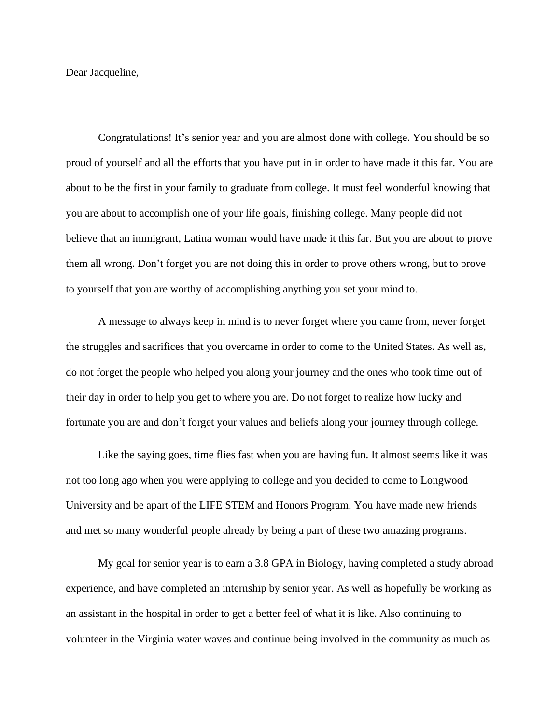Dear Jacqueline,

Congratulations! It's senior year and you are almost done with college. You should be so proud of yourself and all the efforts that you have put in in order to have made it this far. You are about to be the first in your family to graduate from college. It must feel wonderful knowing that you are about to accomplish one of your life goals, finishing college. Many people did not believe that an immigrant, Latina woman would have made it this far. But you are about to prove them all wrong. Don't forget you are not doing this in order to prove others wrong, but to prove to yourself that you are worthy of accomplishing anything you set your mind to.

A message to always keep in mind is to never forget where you came from, never forget the struggles and sacrifices that you overcame in order to come to the United States. As well as, do not forget the people who helped you along your journey and the ones who took time out of their day in order to help you get to where you are. Do not forget to realize how lucky and fortunate you are and don't forget your values and beliefs along your journey through college.

Like the saying goes, time flies fast when you are having fun. It almost seems like it was not too long ago when you were applying to college and you decided to come to Longwood University and be apart of the LIFE STEM and Honors Program. You have made new friends and met so many wonderful people already by being a part of these two amazing programs.

My goal for senior year is to earn a 3.8 GPA in Biology, having completed a study abroad experience, and have completed an internship by senior year. As well as hopefully be working as an assistant in the hospital in order to get a better feel of what it is like. Also continuing to volunteer in the Virginia water waves and continue being involved in the community as much as